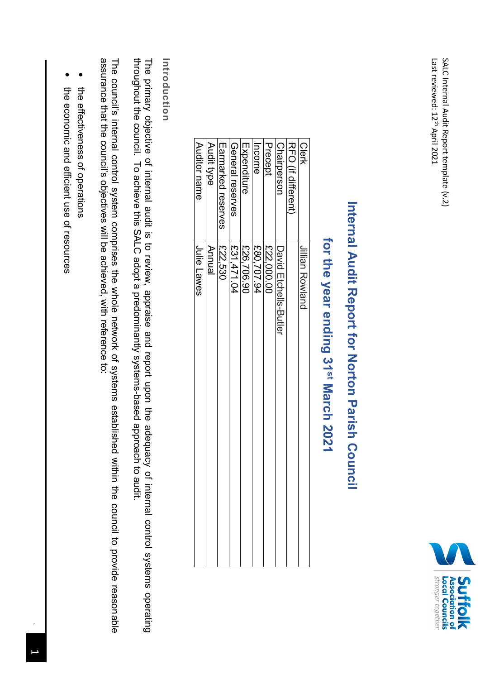

# **Internal Audit Report for Norton Parish Internal Audit Report for Norton Parish Council**

# for the year ending 31<sup>st</sup> March 2021 **for the year ending 31st March 2021**

| <b>Clerk</b>              | Jilian Rowand         |
|---------------------------|-----------------------|
| RFO (if different)        |                       |
| Chairperson               | David mtchells-Butler |
| Precept                   | £22,000.00            |
| Income                    | £80,707.94            |
| Expenditure               | £26,706.90            |
| General reserves          | £31,471.04            |
| <b>Larmarked reserves</b> | E22,530               |
| Audit type                | Annual                |
| Auditor name              | Julie Lawes           |
|                           |                       |

#### Introduction **Introduction**

throughout the council. To achieve this SALC adopt a predominantly systems-based approach to audit. The primary objective of internal audit is to review, appraise and report upon the adequacy of internal control systems operating throughout the council. To achieve this SALC adopt a predominantly systems-based approach to audit. The primary objective of internal audit is to review, appraise and report upon the adequacy of internal control systems operating

The council's internal control system comprises the whole network of systems established within the council to provide reasonThe council's internal control system comprises the whole network of systems established within the council to provide reasonable assurance that the council's objectives will be achieved, with reference assurance that the council's objectives will be achieved, with reference to:

- the effectiveness of operations the effectiveness of operations
- the economic and efficient use of resources the economic and efficient use of resources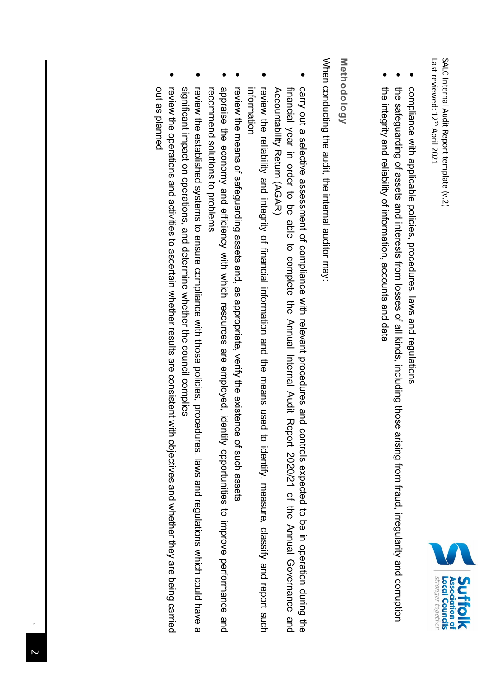

- compliance with applicable policies, procedures, laws and regulations compliance with applicable policies, procedures, laws and regulations
- • the safeguarding of assets and interests from losses of all kinds, including those arising from fraud, irregularity and corruption the integrity and reliability of information, accounts and data the integrity and reliability of information, accounts and data the safeguarding of assets and interests from losses of all kinds, including those arising from fraud, irregularity and corruption
- 

#### Methodology **Methodology**

When conducting the audit, the internal auditor may: When conducting the audit, the internal auditor may:

- carry out a selective assessment of compliance with relevant procedures and controls expected to be in operation during the Accountability Return (AGAR) financial year in order to be able to complete the Annual Internal Audit Report 2020/21 of the Annual Governance and Accountability Return (AGAR) financial year in order to be able to complete the Annual Internal Audit Report 2020/21 carry out a selective assessment of compliance with relevant procedures and controls expected to be in operation during the of the Annual Governance and
- review the reliability and integrity of financial information and the means used to identify, measure, classify and report such information information review the reliability and integrity of financial information and the means used to identify, measure, classify and report such
- review the means of safeguarding assets and, as appropriate, verify the existence of such assets review the means of safeguarding assets and, as appropriate, verify the existence of such assets
- appraise the economy and efficiency with which resources are employed, identify opportunities to improve performance and recommend solutions to problems recommend solutions to problems appraise the economy and efficiency with which resources are employed, identify opportunities to improve performance and
- significant impact on operations, and determine whether the council complies review the established systems to ensure compliance with those policies, procedures, laws and regulations which could have a significant impact on operations, and determine whether the council complies review the established systems to ensure compliance with those policies, procedures, laws and regulations which could have a
- out as planned review the operations and activities to ascertain whether results are consistent with objectives and whether they are being carried out as plannedreview the operations and activities to ascertain whether results are consistent with objectives and whether they are being carried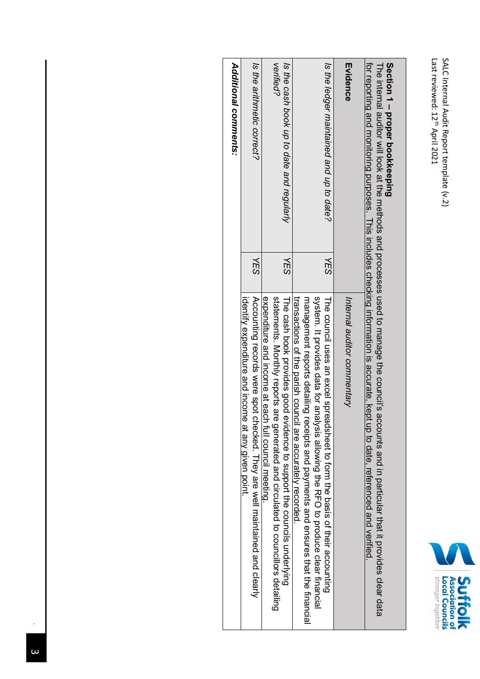| Last reviewed: 1-<br>ر<br>a<br>₹<br>12021 | ່ໃ<br>ֺ֖֖֖֖ׅ֧֦֧ׅ֚֚֚֚֚֚֚֚֚֚֚֚֘֩֓֟֓֜֓֟֓֟֓֟֓֡׆֧<br>׆<br>ternai<br>בנחמור<br>Ì,<br>Report te.<br>נם<br>ד<br>こくにっこく |
|-------------------------------------------|----------------------------------------------------------------------------------------------------------------|
|-------------------------------------------|----------------------------------------------------------------------------------------------------------------|



# **Section 1 proper bookkeeping**

**Section 1 – proper bookkeeping**<br>The internal auditor will look at the methods and processes used to manage the council's accounts and in particular that it provides clear data The internal auditor will look at the methods and processes used to manage the council's accounts and in particular that it provides clear data for reporting and monitoring purposes. This includes checking information is accurate, kept up to date, referenced and verified.

|                                           |            | for reporting and monitoring purposes. This includes checking information is accurate, kept up to date, referenced and verified                                      |
|-------------------------------------------|------------|----------------------------------------------------------------------------------------------------------------------------------------------------------------------|
| Evidence                                  |            | Internal auditor commentary                                                                                                                                          |
| Is the ledger maintained and up to date?  | YES        | system. It provides data for anal<br>The connul uses an excel spreadsheet to form the basis of their acconnuing<br>lysis allowing the RHO to produce clear financial |
|                                           |            | transactions of the parish council are accurately recorded.<br>management reports that the selling receive and paymers and ensures that the financial                |
| Is the cash book up to date and regularly | <b>YES</b> | The cash book provides good evidence to support the councils underlying                                                                                              |
| verified?                                 |            | statements. Monthly reports are<br>expenditure and income at each<br>generated and circulated to councillors detailing<br>i full council meeting.                    |
| Is the arithmetic correct?                | <b>NES</b> | Accounting records were spot checked. They are well maintained and clearly                                                                                           |
|                                           |            | identify expenditure and income at any given point.                                                                                                                  |
| Additional comments:                      |            |                                                                                                                                                                      |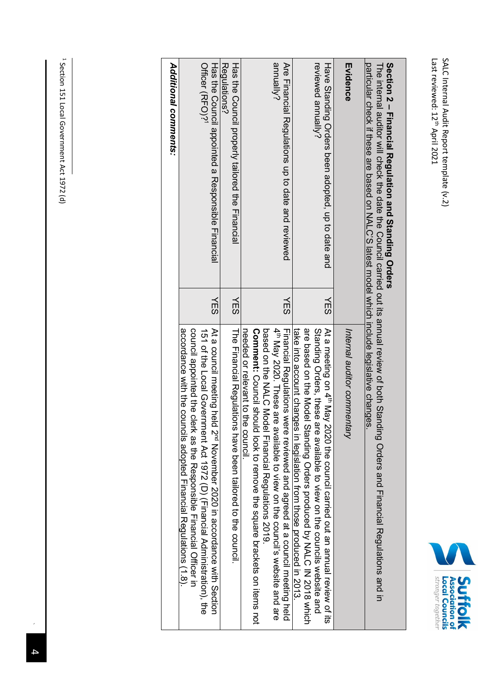

# **Section 2 Financial Regulation and Standing Orders**

Section 2 - Financial Regulation and Standing Orders<br>The internal auditor will check the date the Council carried out its annual review of both Standing Orders and Financial Regulations and in The internal auditor will check the date the Council carried out its annual review of both Standing Orders and Financial Regulations and in

| particular check if these are based on NALC'S latest model which include legislative changes |                                                                                                                                                                                                                                                                                                                                                                                |
|----------------------------------------------------------------------------------------------|--------------------------------------------------------------------------------------------------------------------------------------------------------------------------------------------------------------------------------------------------------------------------------------------------------------------------------------------------------------------------------|
| Evidence                                                                                     | Internal auditor commentary                                                                                                                                                                                                                                                                                                                                                    |
| reviewed annually?<br>Have Standing Orders been adopted, up to date and<br>YES               | are based on the Model Standing Orders produced by NALC IN 2018 which<br>At a meeting on 4 <sup>th</sup> May 2020 the council carried out an annual review of its<br>Standing Orders, these are available to view on the councils website and<br>take into account changes in legislation from those produced in 2013.                                                         |
| annually?<br>Are Financial Regulations up to date and reviewed<br>YES                        | pased on the NALC Model Financial Regulations 2019.<br>4 <sup>th</sup> May 2020. These are<br><b>Comment:</b> Coupcil should be advert to ten society to the square brackes is the discussion it found.<br>Financial Regulations were reviewed and agreed at a council meeting held<br>needed or relevant to the council<br>available to view on the council's website and are |
| Regulations?<br>Has the Council properly tailored the Financial<br>YES                       | The Einancial Regulations have been tailored to the council.                                                                                                                                                                                                                                                                                                                   |
| Officer (RFO)?<br>Has the Council appointed a Responsible Financial<br>YES                   | Cornoll appointed the clerk as the Responsible Financial Officer in<br>acoordance with the councils adopted Financial Regulations (1.8).<br>At a council meeting held $N_{\text{B}}$ Movember 2020 in accordance with Section<br>151 of the Local Government Act 1972 (D) (Financial Administration), the                                                                      |
| Additional comments:                                                                         |                                                                                                                                                                                                                                                                                                                                                                                |

<sup>1</sup> Section 151 Local Government Act 1972 (d) Section 151 Local Government Act 1972 (d)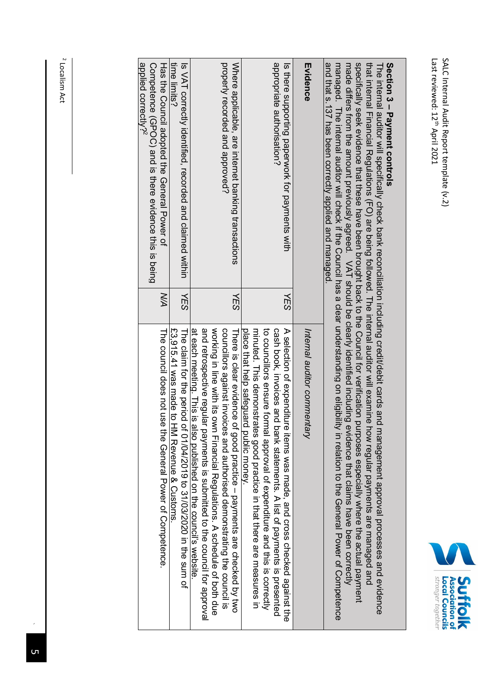

### **Section 3** Section 3 - Payment controls **Payment controls**

managed. The internal auditor will check if the Council has a clear understanding on eligibility in relation to the General Power of Competence made differs from the amount previously agreed. VAT should be clearly identified including evidence that claims have been correctly specifically seek evidence that these have been brought back to the Council for verification purposes especially where the actual payment hangman hat a 137 has held correctly and managed specifically seek evidence that these have been brought back to the Council for verification purposes especially where the actual payment that internal Financial Regulations (FO) are being followed. The internal auditor will examine how regular payments are managed and that internal Financial Regulations (FO) The internal auditor will specifically check bank reconciliation including credit/debit cards and management approval processes and evidence The internal auditor will specifically check bank reconciliation including credit/debit cards and management approval processes and evidence and that s.137 has been correctly applied and managedmanaged. The internal auditor will check if the Council has a clear understanding on eligibility in relation to the General Power of Competence made differs from the amount previously agreed. VAT should be clearly identified including evidence that claims have been correctly are being followed. The internal auditor will examine how regular payments are managed and *.*

| aily tilds a lot aily and politically applica dilation in all and call                                                                   |            |                                                                                                                                                                                                                                                                                                                                                               |
|------------------------------------------------------------------------------------------------------------------------------------------|------------|---------------------------------------------------------------------------------------------------------------------------------------------------------------------------------------------------------------------------------------------------------------------------------------------------------------------------------------------------------------|
| Evidence                                                                                                                                 |            | Internal auditor commentary                                                                                                                                                                                                                                                                                                                                   |
| appropriate authorisation?<br>Is there supporting paperwork for payments with                                                            | 化<br>SS    | to connollors ensure formal approval of expenditure and this is correctly<br>A selection of expenditure items was made, and cross checked against the<br>cash book, invoices and<br>initrad. This demonstrates and the in that that these are area measures in<br>place that help safeguard public money.<br>bank statements. A list of payments is presented |
| Where applicable, are internet banking transactions<br>properly recorded and approved?                                                   | <b>YES</b> | WOrking in line with its own Financial Regulations. A schedule of both due<br>councillors against invoices and authorised demonstrating the council is<br>There is clear evidence<br>of good practice - payments are checked by two                                                                                                                           |
|                                                                                                                                          |            | and retrospective regular backluded to the countries is a burified to the council for approval<br>at each meeting. This is also published on the council's website                                                                                                                                                                                            |
| Is VAT correctly identified , recorded and claimed within<br>time limits?                                                                | VES        | The claim for the period<br>£3,915.41 was made to HM Revenue & Customs<br>of 01/04/2010 to 21/03/2020 in the sum of                                                                                                                                                                                                                                           |
| applied correctly? <sup>2</sup><br>Competence (GPOC) and is there evidence this is being<br>Has the Council adopted the General Power of | <b>N/A</b> | The council does not use the General Power of Competence.                                                                                                                                                                                                                                                                                                     |
|                                                                                                                                          |            |                                                                                                                                                                                                                                                                                                                                                               |

<sup>2</sup> Localism Act Localism Act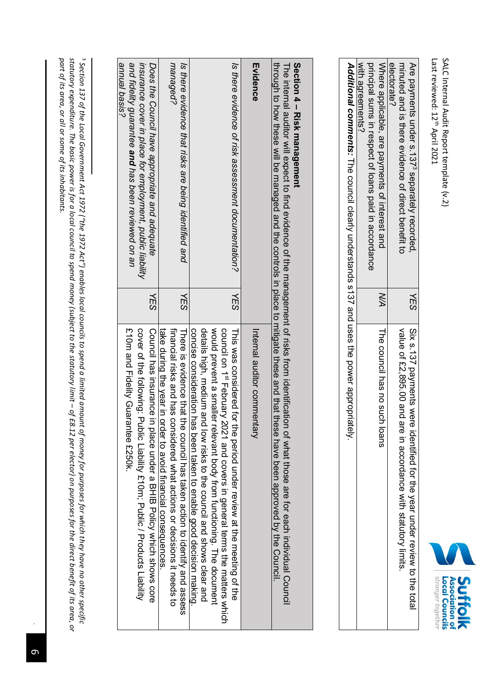| igle<br>Ξ<br>эдесп | 10201<br><u>iour</u><br>Ŕ | SSS<br><u>iailo:</u><br>I |  |
|--------------------|---------------------------|---------------------------|--|

| Additional comments: The council clearly understands s137 and uses the power appropriately | with agreements?<br>principal sums in respect of loans paid in accordance | Where applicable, are payments of interest and | electorate? | minuted and is there evidence of direct benefit to                | Are payments under s.137 <sup>3</sup> separately recorded,                 |
|--------------------------------------------------------------------------------------------|---------------------------------------------------------------------------|------------------------------------------------|-------------|-------------------------------------------------------------------|----------------------------------------------------------------------------|
|                                                                                            |                                                                           |                                                |             |                                                                   | <b>YES</b>                                                                 |
|                                                                                            |                                                                           | The council has no sucl<br>h Ioans             |             | value of £2,895.00 and<br>are in accordance with statutory limits | Six s. 137 payments were identified for the year under review to the total |

# **Section 4 Risk management**

**Section 4 – Risk management**<br>The internal auditor will expect to find evidence of the management of risks from identification of what those are for each individual Council The internal auditor will expect to find evidence of the management of risks from identification of what those are for each individual Council

|                                                                                                                                                                                    |            | יוופ ווופוווס מסמונט וואון בצ'אפני מיווויס באומים היים ומספרוופון מיוויס ווסוויס ומומינוסים אוומי הוספר מוכי מ<br>through to how will be been appropriated that these a plate to minique these a paral that these pase been also been alonoved by the Connulum through the Series when the contribute on the face will be computed by the condit                          |
|------------------------------------------------------------------------------------------------------------------------------------------------------------------------------------|------------|---------------------------------------------------------------------------------------------------------------------------------------------------------------------------------------------------------------------------------------------------------------------------------------------------------------------------------------------------------------------------|
| Evidence                                                                                                                                                                           |            | Internal auditor commentary                                                                                                                                                                                                                                                                                                                                               |
| Is there evidence of risk assessment documentation?                                                                                                                                | YES        | details high; Hedium and low risks to the council and shows clear and<br>would prevent a smaller relevant body from functioning. The document<br>consisteration rase of the good decision race and decision making.<br>connolion 1s, February 2021 and covers in general terms the matters which<br>This was considered for the period under review at the meeting of the |
| managed?<br>Is there evidence that risks are being identified and                                                                                                                  | <b>YES</b> | take during the year in order to avoid financial consecuences.<br>financial risks and has considered what actions of closions it needs to<br>There is evidence that the council has taken action to identify and assess                                                                                                                                                   |
| snnual basis?<br>and fidelity guarantee and has been reviewed on an<br>Does the Council have appropriate and adequate<br>insurance cover in place for employment, public liability | YES        | m10m and Fidelity Guarantee m250k.<br>cover of the following: Public Liability f.10m; Public / Products Liability<br>Council has insurance in<br>n place under a BHIB Policy which shows core                                                                                                                                                                             |

part of its area, or all or some of its inhabitants. *part of its area, or all or some of its inhabitants.statutory expenditure. The basic power is for a local council to spend money (subject to the statutory limit Section 137 of the Local Government Act 1972 ("the 1972 Act") enables local councils to spend a limited amount of money for purposes for which t– of £8.12 per elector) on purposes for the direct benefit of its area, or hey have no other specific* 

س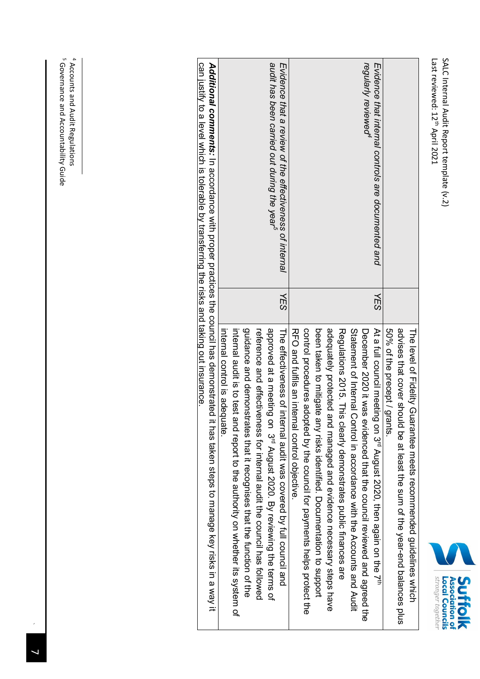| ë<br>reviewed: 12<br>ر<br>≏<br>$\overline{a}$<br>l<br>ーワイー<br>Ş | ֧֓׆֚<br>׆<br>'וורבו ווסו<br>:<br>?<br>?<br>こくこ<br>こうろうし<br>:<br>הר<br>į<br>こくにく |
|-----------------------------------------------------------------|---------------------------------------------------------------------------------|
|-----------------------------------------------------------------|---------------------------------------------------------------------------------|



|                                                                                                   |     | The level of Fidelity Guarantee meets recommended guidelines which                             |
|---------------------------------------------------------------------------------------------------|-----|------------------------------------------------------------------------------------------------|
|                                                                                                   |     | advises that cover should be at least the sum of the year-end balances plus                    |
|                                                                                                   |     | 50% of the precept / grants                                                                    |
| Evidence that internal controls are documented and                                                | YES | At a full council meeting<br>on 3 <sup>rd</sup> August 2020, then again on the 7 <sup>th</sup> |
| regularly reviewed <sup>4</sup>                                                                   |     | December 2020 it was exidenced that the connuit lives been agreed then                         |
|                                                                                                   |     | Statement of Internal Control in accordance with the Accordist and Audit                       |
|                                                                                                   |     | Regulations 2015. This<br>clearly demonstrates public finances are                             |
|                                                                                                   |     | adequately protected and managed and evidence necessary steps have                             |
|                                                                                                   |     | been taken to mitigate any risks identified. Documentation to support                          |
|                                                                                                   |     | control procedures adopted by the council for payments helps protect the                       |
|                                                                                                   |     | RFO and fulfils an internal control objective                                                  |
| Evidence that a review of the effectiveness of internal                                           | 化SS | The effectiveness of internal audit was covered by full council and                            |
| audit has been carried out during the year <sup>2</sup>                                           |     | approved at a meeting on 3 <sup>rd</sup> August 2020. By reviewing the terms of                |
|                                                                                                   |     | reference and effectiveness for internal audit the council has followed                        |
|                                                                                                   |     | guidance and demonstrates that it recognises that the function of the                          |
|                                                                                                   |     | internal audit is to test and report to the authority on whether its system of                 |
|                                                                                                   |     | internal control is adequate                                                                   |
| Additional comments: In accordance with proper practices the council has demonstrated i           |     | t has taken steps to manage key risks in a way it                                              |
| can plastify to a level which is to a detailed by transfering the risks and taking out insurance. |     |                                                                                                |

4 5 Accounts and Audit Regulations Governance and Accountability Guide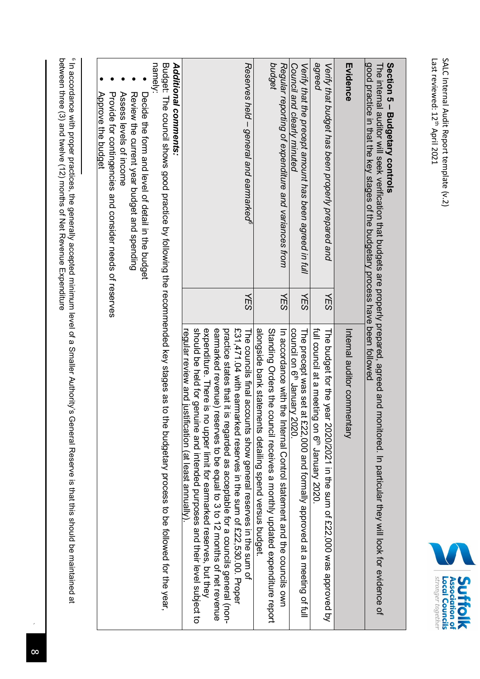

## **Section 5 – Budgetary controls**

The internal auditor will seek verification that budgets are properly prepared, agreed and monitored. In particular they will look for evidence of good practice in that the key stages of the budgetary process have been followed The internal auditor will seek verification that budgets are properly prepared, agreed and monitored. In particular they will look for evidence of

| good practice in that the key stages of the budgetary process have been followed |                                                                                                                                                                                                                                         |
|----------------------------------------------------------------------------------|-----------------------------------------------------------------------------------------------------------------------------------------------------------------------------------------------------------------------------------------|
| Evidence                                                                         | Internal auditor commentary                                                                                                                                                                                                             |
| Verify that budget has been properly prepared and<br>ΥES                         | The budgt tor the Sear 2020/2021 in the sum of 22,000 was approved by                                                                                                                                                                   |
| agreed                                                                           | full council at a meeting<br>on 6 <sup>m</sup> January 2020                                                                                                                                                                             |
| Verify that the precept amount has been agreed in full<br>YES                    | The precept was set at £22,000 and formally approved at a meeting of full                                                                                                                                                               |
| Council and clearly minuted                                                      | council on 6 <sup>th</sup> January 2020                                                                                                                                                                                                 |
| Regular reporting of expenditure and variances from<br>YES                       | In accordance with the Internal Control statement and the councils own                                                                                                                                                                  |
| budget                                                                           | Standing Orders the council receives a mondated expenditure report                                                                                                                                                                      |
|                                                                                  | alongside bank statements detailing spend versus budget.                                                                                                                                                                                |
| Reserves held - general and earmarked <sup>e</sup><br><b>NES</b>                 | The councils final accounts show general reserves in the sum of                                                                                                                                                                         |
|                                                                                  | $E31,471.04$ with earmarked reserves in the sum of $E22,530.00$ . Proper                                                                                                                                                                |
|                                                                                  | practice states that it is regarded as acceptable for a councils general (non-                                                                                                                                                          |
|                                                                                  | earmarked reverice) reserves to pe edual to 2 to 1 2 months of net revenue                                                                                                                                                              |
|                                                                                  | expenditure. There is no upper limit for earmarked reserves, but they                                                                                                                                                                   |
|                                                                                  | should be held for genuine and interned paraboses and their level subject to                                                                                                                                                            |
|                                                                                  | regular review and justification (at least annually)                                                                                                                                                                                    |
| <b>Additional comments:</b>                                                      |                                                                                                                                                                                                                                         |
|                                                                                  | Buggetar The Council showed powers to be faceward produced to the reconnected key stages as to the produced to the productive of the verifiesh $\mu$ and $\mu$ and $\mu$ and $\mu$ and $\mu$ and $\mu$ and $\mu$ and $\mu$ and $\mu$ an |
|                                                                                  |                                                                                                                                                                                                                                         |

namely:

- Decide the form and level of detail in the budget Decide the form and level of detail in the budget
- Review the current year budget and spending Review the current year budget and spending
- Assess levels of income Assess levels of income
- Provide for contingencies and consider needs of reserves Provide for contingencies and consider needs of reserves
- Approve the budget Approve the budget

<sup>6</sup> In accordance with proper practices, the generally accepted minimum level of a Smaller Authority's General Reserve is that this should be maintained at between three (3) and twelve (12) months of Net Revenue Expenditure between three (3) and twelve (12) months of Net Revenue ExpenditureIn accordance with proper practices, the generally accepted minimum level of a Smaller Authority's General Reserve is that this should be maintained at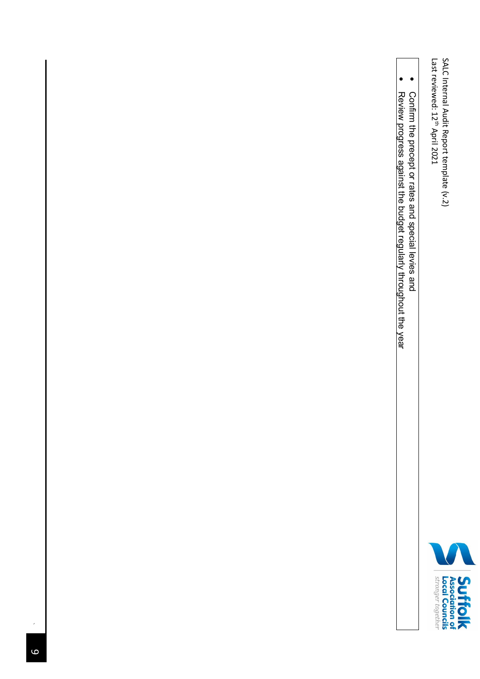Last reviewed: 12 SALC Internal Audit Report template (v.2) s April 2021



- Confirm the precept or rates and special levies and Confirm the precept or rates and special levies and
- Review progress against the budget regularly throughout the year Review progress against the budget regularly throughout the year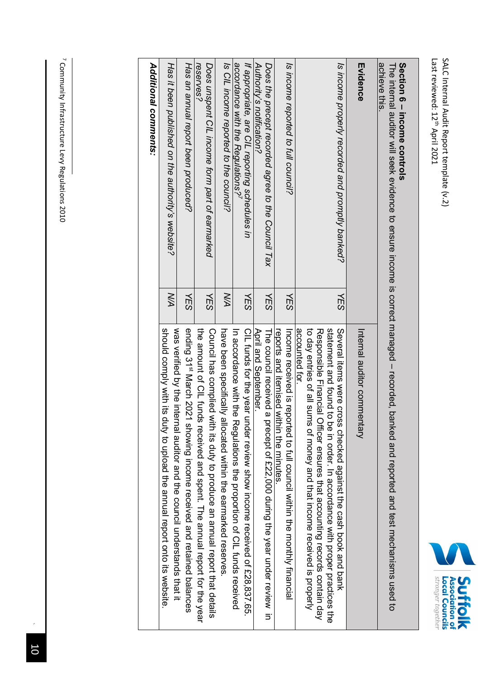

## **Section 6** Section 6 - income controls **income controls**

The internal auditor will seek evidence to ensure income is correct managed The internal auditor will seek evidence to ensure income is correct managed - recorded, banked and reported and test mechanisms used to recorded, banked and reported and test mechanisms used to achieve this.

| achieve this                                                                       |            |                                                                                                                                                                                                                                                                                                                           |
|------------------------------------------------------------------------------------|------------|---------------------------------------------------------------------------------------------------------------------------------------------------------------------------------------------------------------------------------------------------------------------------------------------------------------------------|
| Evidence                                                                           |            | Internal auditor commer<br>ntary                                                                                                                                                                                                                                                                                          |
| Is income properly recorded and promptly banked?                                   | YES        | statement and count of on in order. In accordance with proper practices the<br>accounted for.<br>to day entries of all sums of money and that income received is properly<br>Several terms were cross checked against the cash book and pank<br>Responsible Financial Officer ensures that accounting records contain day |
| Is income reported to full council?                                                | <b>YES</b> | Income received is reported to full council within the monthly financial<br>reports and itemised within the minutes                                                                                                                                                                                                       |
| Does the precept recorded agree to the Council Tax                                 | <b>YES</b> | The council received a I<br>precept of £22,000 during the year under review in                                                                                                                                                                                                                                            |
| Authority's notification?                                                          |            | April and September.                                                                                                                                                                                                                                                                                                      |
| accordance with the Regulations?<br>If appropriate, are CIL reporting schedules in | YES        | CIL funds for the year under review show income received of £28,837.65.<br>In accordance with the<br>Regulations the proportion of CIL funds received                                                                                                                                                                     |
| Is CIL income reported to the council?                                             | XД         | have been specifically allocated within the earmarked reserves                                                                                                                                                                                                                                                            |
| Does unspent CIL income form part of earmarked<br>reserves?                        | YES        | Construir as complied with its acty to produce an annual report that details<br>the amount of CIL funds<br>received and spent. The annual report for the year                                                                                                                                                             |
| Has an annual report been produced?                                                | <b>NES</b> | was verified by the internal auditor and the council understands that it<br>ending 31 <sup>st</sup> March 2021<br>showing income received and retained balances                                                                                                                                                           |
| Has it been published on the authority's website?                                  | XД         | should comply with its d<br>ruty to upload the annual report onto its website.                                                                                                                                                                                                                                            |
| Additional comments:                                                               |            |                                                                                                                                                                                                                                                                                                                           |

<sup>7</sup> Community Infrastructure Levy Regulations 2010 Community Infrastructure Levy Regulations 2010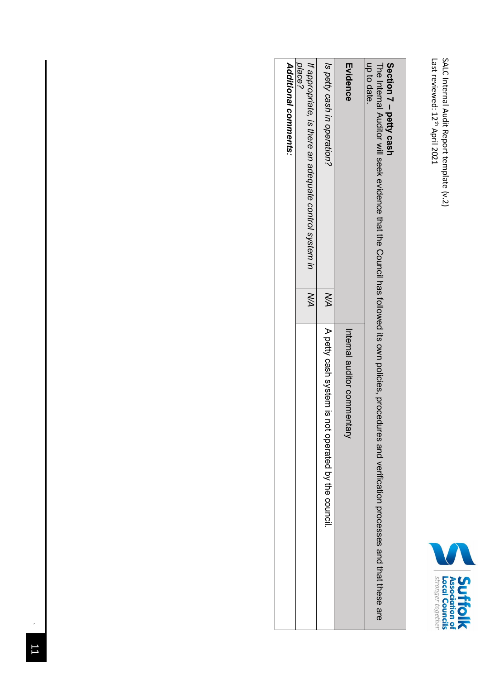

#### **Section 7 – petty cash**

**IID fo date** The Internal Auditor will seek evidence that the Council has followed its own policies, procedures and verification processes up to date. and that these are

| nh ng dia                                                        |           |                                                    |
|------------------------------------------------------------------|-----------|----------------------------------------------------|
| Evidence                                                         |           | Internal auditor commer<br>han                     |
| Is petty cash in operation?                                      | <b>NA</b> | A petty cash system is not operated by the council |
| place?<br>If appropriate, is there an adequate control system in | XХ        |                                                    |
| Additional comments:                                             |           |                                                    |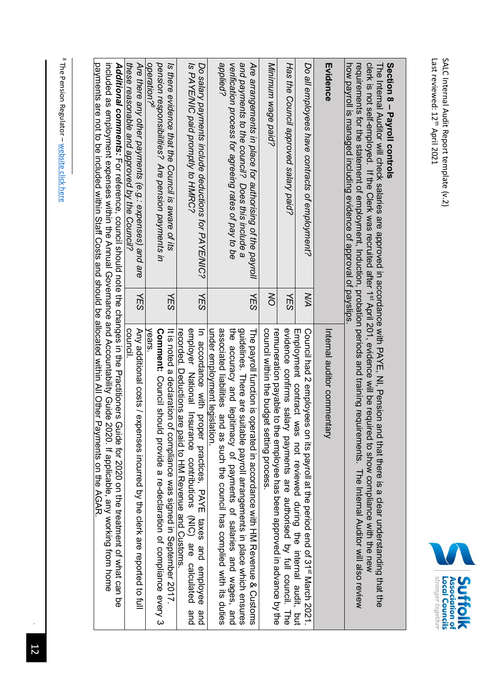The Pension Regulator – website click here

| Ш<br>Ġ<br>ζ<br>Ğ<br>Igr | š<br>ý<br>Ê<br>ŏ<br><b>SIGHE</b><br>ounc. |  |
|-------------------------|-------------------------------------------|--|

#### **Section 8 – Payroll controls**

Last reviewed: 12

April 2021

SALC Internal Audit Report template (v.2) s

SALC Internal Audit Report template (v.2)

The Internal Auditor will check salaries are approved in accordance with PAYE, NI, Pension and that there is a clear understanding that the<br>clerk is not self-employed. If the Clerk was recruited after 1<sup>st</sup> April 201, evid The Internal Auditor will check salaries are approved in accordance with PAYE, NI, Pension and that there is a clear understanding that the requirements for the statement of employment, Induction, probation periods and training requirements. The Internal Auditor will also review clerk is not self-employed. If the Clerk was recruited after 1<sup>st</sup> April 201, evidence will be required to show compliance with the new

| how payroll is managed including evidence of approval of payslips                                                |            | iegalierineite for eie staterineit of erriptyrineit, indectori, procedent periode and equitarierineite. The internation will also review                                           |
|------------------------------------------------------------------------------------------------------------------|------------|------------------------------------------------------------------------------------------------------------------------------------------------------------------------------------|
| Evidence                                                                                                         |            | Internal auditor commentary                                                                                                                                                        |
| Do all employees have contracts of employment?                                                                   | XД         | Council had 2 employees on its payroll at the period end of 31 <sup>st</sup> March 2021.                                                                                           |
| Has the Council approved salary paid?                                                                            | <b>YES</b> | evidence contirms sala<br>Employment contract was not reviewed during the internal audit, but<br>read providents are addroised by full council. The                                |
| Minimum wage paid?                                                                                               | $\lesssim$ | connicil within the budget<br>remuneration payable to the employee has been approved in advance by the<br>setting process                                                          |
| and payments to the council? Does this include a<br>Are arrangements in place for authorising of the payroll     | <b>NES</b> | guidelines. There are suitable payroll arrangements in place which ensures<br>The payroll function is operated in accordance with HM Revenue & Customs                             |
| spplied?<br>verification process for agreeing rates of pay to be                                                 |            | associated liabilities and as such the council has complied with its duties<br>the accuracy and legitimacy of payments of salaries and wages, and<br>under employment legislation. |
| Do salary payments include deductions for PAYE/NIC?                                                              | <b>YES</b> | In accordance with proper practices, PAYE taxes and employee<br>and                                                                                                                |
| Is PAYE/NIC paid promptly to HMRC?                                                                               |            | employer National Instrustore contributions (NIC) are calculated<br>recorded. Deductions are paid to HM Revenue and Customs<br>and                                                 |
| Is there evidence that the Council is aware of its                                                               | <b>NES</b> | It is noted a declaration of compliance was signed in September 2017.                                                                                                              |
| operation? <sup>8</sup><br>pension responsibilities? Are pension payments in                                     |            | Vears<br><b>Comment: Council sho</b><br>uld provide a re-declaration of compliance every 3                                                                                         |
| Are there any other payments (e.g.: expenses) and are                                                            | <b>NES</b> | Any additional costs / expenses incurred by the clerk are reported to full                                                                                                         |
| these reasonable and approved by the Council?                                                                    |            | council                                                                                                                                                                            |
| Additional comments: For reference, council should note the changes in the Practitioners                         |            | Guide for 2020 on the treatment of what can be                                                                                                                                     |
| inded as employment expenses within the Annual Governance and Accountability Guide                               |            | 2020. If applicable, any working trom home                                                                                                                                         |
| payments are not to be included within Staff Costs and should be allocated within All Other Payments on the AGAR |            |                                                                                                                                                                                    |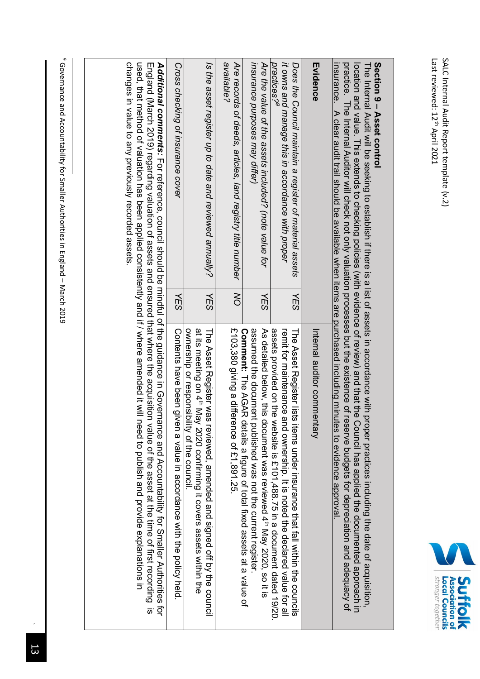

#### **Section 9** Section 9 - Asset control **Asset control**

location and value. This extends to checking policies (with evidence of review) and that the Council has applied the documented approach in<br>practice. The Internal Auditor will check not only valuation processes but the exi The Internal Audit will be seeking to establish if there is a list of assets in accordance with proper practices including the date of acquisition, The Internal Audit will be seeking to establish if there is a list of assets in accordance with proper practices including the date of acquisition, practice. The Internal Auditor will check not only valuation processes but the existence of reserve budgets for depreciation location and value. This extends to checking policies (with evidence of review) and that the Council has applied the documented approach in and adequacy of

| insurance. A clear audit trail should be available when items are purchased including minutes to evidence approval                      |                   |                                                                                                                                                                                                                                                                                                                                                                                                                                                                                                                                                                         |
|-----------------------------------------------------------------------------------------------------------------------------------------|-------------------|-------------------------------------------------------------------------------------------------------------------------------------------------------------------------------------------------------------------------------------------------------------------------------------------------------------------------------------------------------------------------------------------------------------------------------------------------------------------------------------------------------------------------------------------------------------------------|
| Evidence                                                                                                                                |                   | Internal auditor commentary                                                                                                                                                                                                                                                                                                                                                                                                                                                                                                                                             |
| practices? <sup>y</sup><br>it owns and manage this in accordance with proper<br>Does the Council maintain a register of material assets | <b>YES</b>        | assets provided 19/20. The website is £10 m a document dated 19/20.<br>remit for maintenance a<br>The Asset Reqister lists<br>nd ownership. It is noted the declared value for all<br>iteris under insurance that tail within the councils                                                                                                                                                                                                                                                                                                                              |
| msurance purposes may differ)<br>Are the value of the assets included? (note value for                                                  | YES               | assumed the document<br>As detailed belox, it is document xas reviewed 4 th May 2020, so it is<br>published was not the current register.                                                                                                                                                                                                                                                                                                                                                                                                                               |
| available?<br>Are records of deeds, articles, land registry title number                                                                | $\overline{\sim}$ | £103,380 giving a difference of £1,891.25.<br><b>Comment:</b> The AGAR details a figure of total fixed assets at a value of                                                                                                                                                                                                                                                                                                                                                                                                                                             |
| Is the asset register up to date and reviewed annually?                                                                                 | YES               | at its meeting on 4" May 2020 confirming it covers assets within the<br>ownership or responsibility of the council<br>The Asset Register was reviewed, amended and signed off by the council                                                                                                                                                                                                                                                                                                                                                                            |
| Cross checking of insurance cover                                                                                                       | <b>YES</b>        | Contents have been given a value in accordance with the policy held.                                                                                                                                                                                                                                                                                                                                                                                                                                                                                                    |
|                                                                                                                                         |                   | used, that method of valuation has been applied consistently and if / where amended it wing theed to wind if and the step and provide explanation is the mater of the step and the step and the step and the step and the step<br>Additional consitivity to reference on the and of the and the didding one in Governance and Acconduct and Acconduct Stripgitions for the and Acconduct Stripgition on the and $\mu$<br>England (March 2019) regarding valuation of assets and ensured that where the acquisition value of the asset at the time of first recording is |

9 Governance and Accountability for Smaller Authorities in England – March 2019

changes in value to any previously recorded assets.

changes in value to any previously recorded assets.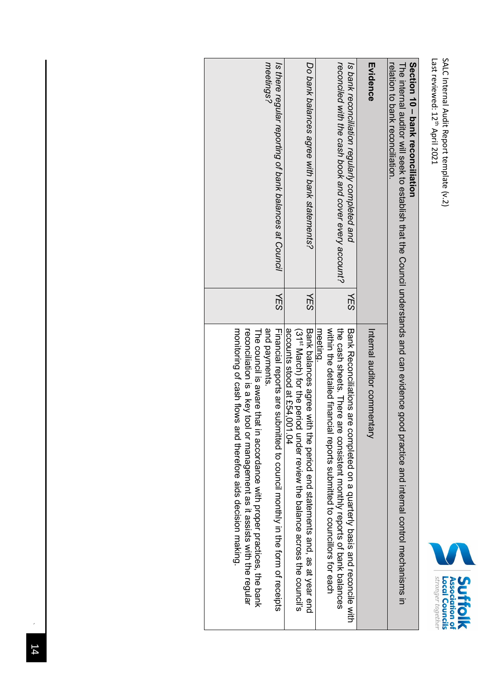| uchol r reli<br>ーフハマー<br>ر<br>S<br>$+$ juwo.<br>יוממר |
|-------------------------------------------------------|
|-------------------------------------------------------|



## **Section 10** Section 10 - bank reconciliation **bank reconciliation**

The internal auditor will seek to establish that the Council understands and can evidence good practice and internal control mechanisms in The internal auditor will seek to relation to bank reconciliation. establish that the Council understands and can evidence good practice and internal control mechanisms in

| relation to bank reconciliation                                                                          |            | $\mathbf$                                                                                                                                                                                                                                                                                                                  |
|----------------------------------------------------------------------------------------------------------|------------|----------------------------------------------------------------------------------------------------------------------------------------------------------------------------------------------------------------------------------------------------------------------------------------------------------------------------|
| Evidence                                                                                                 |            | Internal auditor commentary                                                                                                                                                                                                                                                                                                |
| reconciled with the cash book and cover every account?<br>Is bank reconciliation regularly completed and | VES        | within the detailed financial reports submitted to convictions for each<br>the cash sheets. There are consistent monthly reports of bank balances<br>meeting.<br>Bank Reconcillations are completed on a duarterly basis and reconcille with                                                                               |
| Do bank balances agree with bank statements?                                                             | <b>YES</b> | accounts stood at £54,001.04<br>Bank balances agree with the bericd statenes is and, as at year end<br>(31 <sup>st</sup> March) for the period under review the balance across the council's                                                                                                                               |
| Is there regular reporting of bank balances at Council<br>meetings?                                      | <b>NES</b> | and payments.<br>monitoring of cash flows<br>Financial reports are submitted to council monthly in the form of receipts<br>reconcilation is a key key tool or management assists systems in the regular<br>The consisting a ware that in accordance with proper practices, the park<br>and therefore aids decision making. |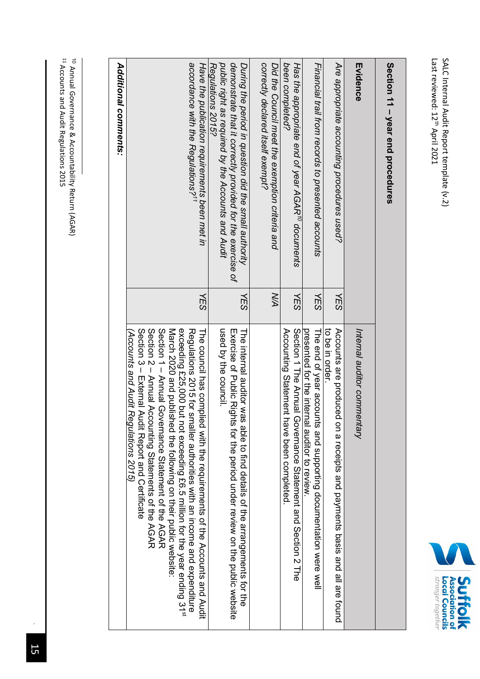Last reviewed: 12 SALC Internal Audit Report template (v.2) s April 2021



| Ž                    |
|----------------------|
|                      |
|                      |
|                      |
|                      |
|                      |
|                      |
|                      |
| $\ddot{\phantom{a}}$ |
|                      |
|                      |
| ì                    |
| i                    |
|                      |
| ì                    |
|                      |
| ֧֓                   |
|                      |

| Evidence                                                                                                                                                                                       |            | Internal auditor commentary                                                                                                                                                                                                                                                                                                                                                                                                                                                                                                       |
|------------------------------------------------------------------------------------------------------------------------------------------------------------------------------------------------|------------|-----------------------------------------------------------------------------------------------------------------------------------------------------------------------------------------------------------------------------------------------------------------------------------------------------------------------------------------------------------------------------------------------------------------------------------------------------------------------------------------------------------------------------------|
| Are appropriate accounting procedures used?                                                                                                                                                    | <b>YES</b> | to be in order.<br>Accounts are produced on a receipts and payments basis and all are found                                                                                                                                                                                                                                                                                                                                                                                                                                       |
| Financial trail from records to presented accounts                                                                                                                                             | <b>YES</b> | presented for the internal auditor to review<br>The end of year accou<br>ints and supporting documentation were well                                                                                                                                                                                                                                                                                                                                                                                                              |
| been completed?<br>Has the appropriate end of year AGAR' <sup>o</sup> documents                                                                                                                | <b>YES</b> | Section 1 The Annual<br>Accounting Statement<br>Governance Statement and Section 2 The<br>have been completed                                                                                                                                                                                                                                                                                                                                                                                                                     |
| correctly declared itself exempt?<br>Did the Council meet the exemption criteria and                                                                                                           | XХ         |                                                                                                                                                                                                                                                                                                                                                                                                                                                                                                                                   |
| public right as required by the Accounts and Audit<br>demonstrate that it correctly provided for the exercise of<br>Regulations 2015?<br>During the period in question did the small authority | YES        | used by the council.<br>EXercise of Public Rights for the period under review on the public website<br>The internal auditor was able to find details of the arrangements for the                                                                                                                                                                                                                                                                                                                                                  |
| accordance with the Regulations? <sup>11</sup><br>Have the publication requirements been met in                                                                                                | <b>NES</b> | Section 2 – Annual Accounting Statements of the AGAR<br>Section 1 - Annual Governance Statement of the AGAR<br>Section 3 - External Acquit Report and Certificate<br>March 2020 and published the following on their public website:<br>exceeding £25,000 but not exceeding £6.5 million for the year ending 31 <sup>st</sup><br>Regulations 2015 for smaller authorities with an income and expenditure<br>The council has comp<br>(Accounts and Audit Regulations 2015)<br>lied with the requirements of the Accounts and Audit |
| <b>Additional comments:</b>                                                                                                                                                                    |            |                                                                                                                                                                                                                                                                                                                                                                                                                                                                                                                                   |

11<br>11 Annual Governance & Accountability Return (AGAR)

Accounts and Audit Regulations 2015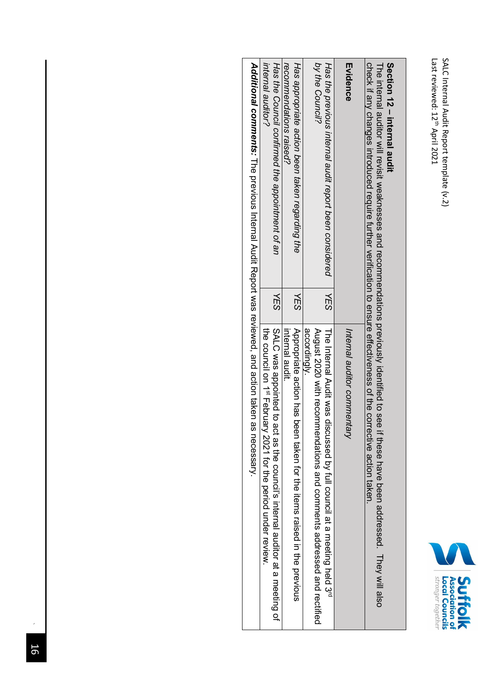

### **Section 12 – internal audit**

The internal auditor will revisit weaknesses and recommendations previously identified to see if these have been addressed. They will also<br>check if any changes introduced require further verification to ensure effectivenes The internal auditor will revisit weaknesses and recommendations previously identified to see if these have been addressed. They will also check if any changes introduced require further verification to ensure effectiveness of the corrective action taken.

| on is an income one of the continue to the continue of the continue of the continue of the con-                |     | こ りりこ りょう りょうこう こうりこ                                                                                                                                      |
|----------------------------------------------------------------------------------------------------------------|-----|-----------------------------------------------------------------------------------------------------------------------------------------------------------|
| Evidence                                                                                                       |     | Internal auditor commentary                                                                                                                               |
| by the Council?<br>Has the previous internal audit report been considered                                      | ΥES | August 2020 with recom<br>The Internal Audit was d<br>liscussed by full council at a meeting held 3rd<br>imendations and comments addressed and rectified |
|                                                                                                                |     | accordingly.                                                                                                                                              |
| Has appropriate action been taken regarding the                                                                | ΥES | Appropriate action has been taken for the items raised in the previous                                                                                    |
| recommendations raised?                                                                                        |     | internal audit.                                                                                                                                           |
| Has the Council confirmed the appointment of an                                                                | λΕS | SALC was appointed to act as the council's internal auditor at a meeting of                                                                               |
| internal auditor?                                                                                              |     | the council on 1st February 2021 for the period under review                                                                                              |
| A dottional comments: The previous literal Addit Revisor is the sign of the same of the comment of the comment |     | as necessary.                                                                                                                                             |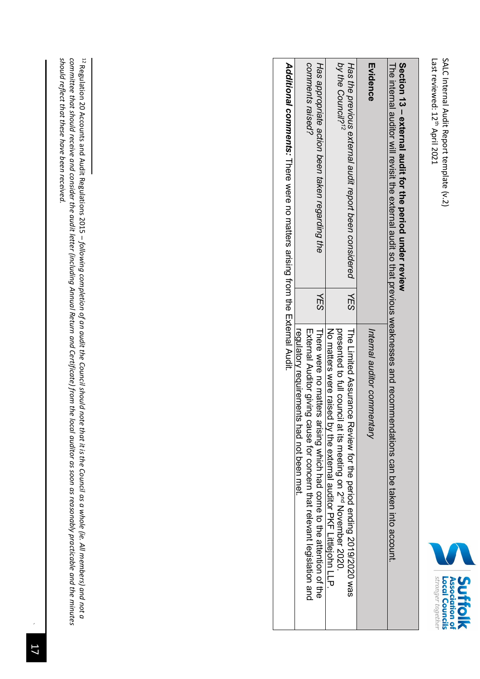

| Section 13 - external audit for the period under review<br>The internal graditor will revisit the system and that of that of the system sequences and recomment of $\mu$ |     | endations can be taken into account.                                                                                                                                                                          |
|--------------------------------------------------------------------------------------------------------------------------------------------------------------------------|-----|---------------------------------------------------------------------------------------------------------------------------------------------------------------------------------------------------------------|
| Evidence                                                                                                                                                                 |     | Internal auditor commentary                                                                                                                                                                                   |
| by the Council? <sup>12</sup><br>Has the previous external audit report been considered                                                                                  | 化SS | No matters were raised by the external auditor PKF Littlejohn LLP.<br>presented to full community in the sting on $Z^{nd}$ Novenheer 2020<br>The Limited Assurance Review for the period ending 2019/2020 was |
| comments raised?<br>Has appropriate action been taken regarding the                                                                                                      | YES | External Auditor giving cause for concern that relevant legislation and<br>regulatory requirements had not been met.<br>There were matters<br>arising which had come to the attention of the                  |
| Additional comments: There were no matters arising from the External Audit.                                                                                              |     |                                                                                                                                                                                                               |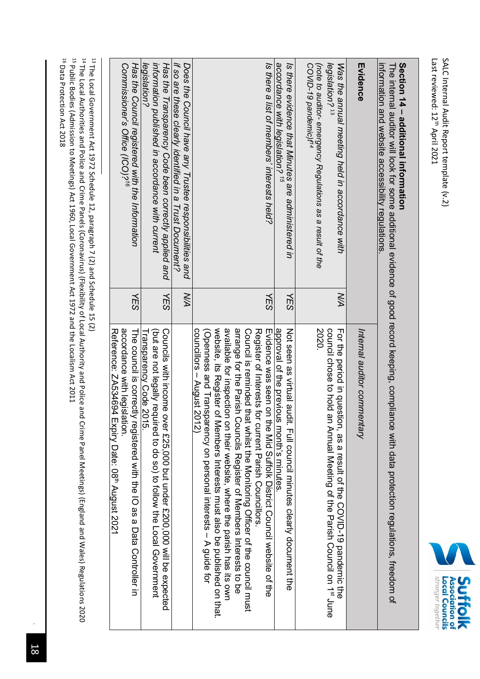

# **Section 14 – additional information**

The internal auditor will look for some additional evidence of good record keeping, compliance with data protection regulations, freedom of The internal auditor will look for some additional evidence of good record keeping, compliance with data protection regulations, freedom of information and website accessibility regulations.

| information and website accessibility regulations                                                                                                                               |            |                                                                                                                                                                                                                                                                                                                                                                                                                                                                                                                                                                                                                                                                                                       |
|---------------------------------------------------------------------------------------------------------------------------------------------------------------------------------|------------|-------------------------------------------------------------------------------------------------------------------------------------------------------------------------------------------------------------------------------------------------------------------------------------------------------------------------------------------------------------------------------------------------------------------------------------------------------------------------------------------------------------------------------------------------------------------------------------------------------------------------------------------------------------------------------------------------------|
| Evidence                                                                                                                                                                        |            | Internal auditor commentary                                                                                                                                                                                                                                                                                                                                                                                                                                                                                                                                                                                                                                                                           |
| (note to auditor- emergency Regulations as a result of the<br>legislation? <sup>13</sup><br>COVID-19 pandemic)f <sup>14</sup><br>Was the annual meeting held in accordance with | XД         | 2020.<br>council chose to hold an Annual Meeting of the Parish Council on 1 <sup>st</sup> June<br>For the period in question, as a result of the COVID-19 pandemic the                                                                                                                                                                                                                                                                                                                                                                                                                                                                                                                                |
| accordance with legislation? <sup>15</sup><br>Is there evidence that Minutes are administered in                                                                                | YES        | approval of the previous month's minutes<br>Not see us sitter and it. Full cornicial trinders clearly document the                                                                                                                                                                                                                                                                                                                                                                                                                                                                                                                                                                                    |
| Is there a list of members' interests held?                                                                                                                                     | <b>NES</b> | available to the strict of the figure. Sepsite, sheep the the proportion of the strict of the strict of the strict of the condition of the condition of the condition of the condition of the condition of the condition of th<br>arrange for the Parish Councils Register of Members Interests to be<br>website, its Register of<br>Cornori is reminded that whilst the Monitoring Officer of the cornori must<br>councillors – August 2012)<br>Register of Interests for current Parish Councillors<br>mvidence was seen on the Mid Suffolk District Council website of the<br>(Openness and Transparency on personal interests – A guide for<br>Members interests must also be budglished on that: |
| if so are these clearly identified in a Trust Document?<br>Does the Council have any Trustee responsibilities and                                                               | XД         |                                                                                                                                                                                                                                                                                                                                                                                                                                                                                                                                                                                                                                                                                                       |
| information published in accordance with current<br>Has the Transparency Code been correctly applied and<br>legislation?                                                        | <b>NES</b> | Councils with income over f 25,000 but under f 200,000 will be expected<br>(but are not legally required to do so) to follow the Local Government<br>Fransparency Code 2015.                                                                                                                                                                                                                                                                                                                                                                                                                                                                                                                          |
| Has the Council registered with the Information<br>Commissioner's Office (ICO)? <sup>16</sup>                                                                                   | <b>YES</b> | acordance with legisla<br>Reference: ZA534694 Expiry Date: 08 <sup>th</sup> August 2021<br>The corricial is correctly registered with the IO as a Data Controller in<br>llon.                                                                                                                                                                                                                                                                                                                                                                                                                                                                                                                         |
|                                                                                                                                                                                 |            |                                                                                                                                                                                                                                                                                                                                                                                                                                                                                                                                                                                                                                                                                                       |

 $^{13}$  The Local Government Act 1972 Schedule 12, paragraph 7 (2) and Schedule 15 (2) The Local Government Act 1972 Schedule 12, paragraph 7 (2) and Schedule 15 (2)

<sup>14</sup> The Local Authorities and Police and Crime Panels (Coronavirus) (Flexibility of Local Authority and Police and Crime Panel Meetings) (England and Wales) Regulations 2020 The Local Authorities and Police and Crime Panels (Coronavirus) (Flexibility of Local Authority and Police and Crime Panel Meetings) (England and Wales) Regulations 2020 <sup>15</sup> Public Bodies (Admission to Meetings) Act 1960, Local Government Act 1972 and the Localism Act 2011 Public Bodies (Admission to Meetings) Act 1960, Local Government Act 1972 and the Localism Act 2011

<sup>16</sup> Data Protection Act 2018 Data Protection Act 2018